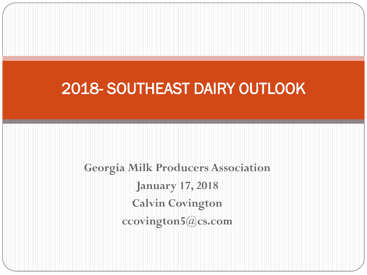### 2018- SOUTHEAST DAIRY OUTLOOK

**Georgia Milk Producers Association January 17, 2018 Calvin Covington ccovington5@cs.com**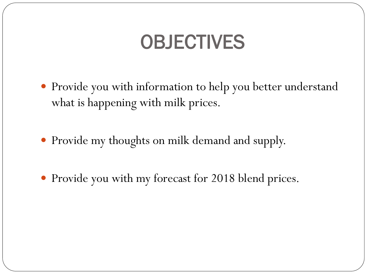# OBJECTIVES

- Provide you with information to help you better understand what is happening with milk prices.
- Provide my thoughts on milk demand and supply.
- Provide you with my forecast for 2018 blend prices.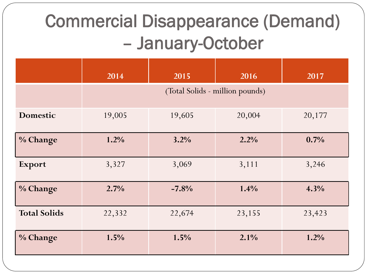## Commercial Disappearance (Demand) – January-October

|                     | 2014                            | 2015    | 2016   | 2017   |
|---------------------|---------------------------------|---------|--------|--------|
|                     | (Total Solids - million pounds) |         |        |        |
| <b>Domestic</b>     | 19,005                          | 19,605  | 20,004 | 20,177 |
| % Change            | 1.2%                            | 3.2%    | 2.2%   | 0.7%   |
| Export              | 3,327                           | 3,069   | 3,111  | 3,246  |
| % Change            | 2.7%                            | $-7.8%$ | 1.4%   | 4.3%   |
| <b>Total Solids</b> | 22,332                          | 22,674  | 23,155 | 23,423 |
| % Change            | 1.5%                            | 1.5%    | 2.1%   | 1.2%   |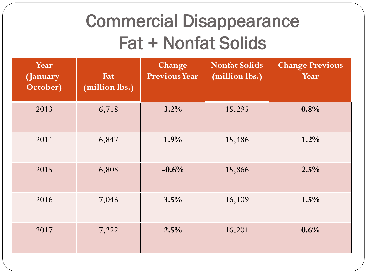### Commercial Disappearance Fat + Nonfat Solids

| Year<br>(January-<br>October) | Fat<br>(million lbs.) | Change<br><b>Previous Year</b> | <b>Nonfat Solids</b><br>(million lbs.) | <b>Change Previous</b><br>Year |
|-------------------------------|-----------------------|--------------------------------|----------------------------------------|--------------------------------|
| 2013                          | 6,718                 | 3.2%                           | 15,295                                 | 0.8%                           |
| 2014                          | 6,847                 | 1.9%                           | 15,486                                 | 1.2%                           |
| 2015                          | 6,808                 | $-0.6%$                        | 15,866                                 | 2.5%                           |
| 2016                          | 7,046                 | 3.5%                           | 16,109                                 | 1.5%                           |
| 2017                          | 7,222                 | 2.5%                           | 16,201                                 | 0.6%                           |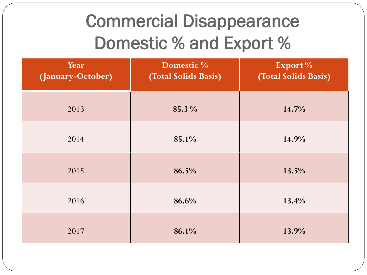## Commercial Disappearance Domestic % and Export %

| Year<br>(January-October) | Domestic %<br>(Total Solids Basis) | Export %<br>(Total Solids Basis) |
|---------------------------|------------------------------------|----------------------------------|
| 2013                      | 85.3 %                             | 14.7%                            |
| 2014                      | 85.1%                              | 14.9%                            |
| 2015                      | 86.5%                              | 13.5%                            |
| 2016                      | 86.6%                              | 13.4%                            |
| 2017                      | 86.1%                              | 13.9%                            |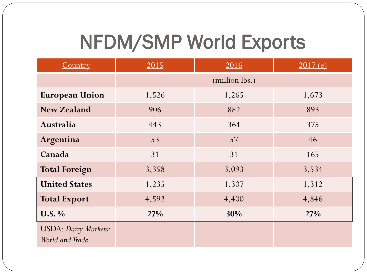# NFDM/SMP World Exports

| Country                                         | 2015  | 2016           | 2017(e) |
|-------------------------------------------------|-------|----------------|---------|
|                                                 |       | (million lbs.) |         |
| <b>European Union</b>                           | 1,526 | 1,265          | 1,673   |
| <b>New Zealand</b>                              | 906   | 882            | 893     |
| Australia                                       | 443   | 364            | 375     |
| Argentina                                       | 53    | 57             | 46      |
| Canada                                          | 31    | 31             | 165     |
| <b>Total Foreign</b>                            | 3,358 | 3,093          | 3,534   |
| <b>United States</b>                            | 1,235 | 1,307          | 1,312   |
| <b>Total Export</b>                             | 4,592 | 4,400          | 4,846   |
| <b>U.S.</b> %                                   | 27%   | 30%            | 27%     |
| <b>USDA</b> : Dairy Markets:<br>World and Trade |       |                |         |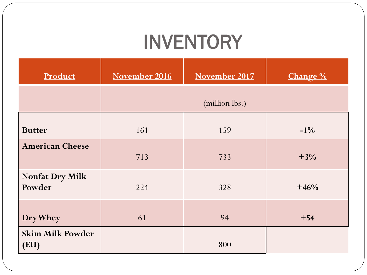## INVENTORY

| Product                          | November 2016 | November 2017  | Change % |
|----------------------------------|---------------|----------------|----------|
|                                  |               | (million lbs.) |          |
| <b>Butter</b>                    | 161           | 159            | $-1\%$   |
| <b>American Cheese</b>           | 713           | 733            | $+3%$    |
| <b>Nonfat Dry Milk</b><br>Powder | 224           | 328            | $+46%$   |
| Dry Whey                         | 61            | 94             | $+54$    |
| <b>Skim Milk Powder</b><br>(EU)  |               | 800            |          |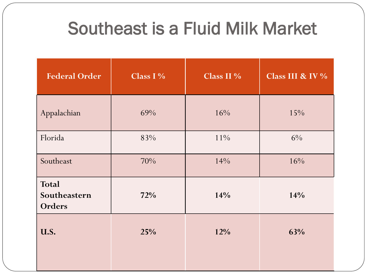### Southeast is a Fluid Milk Market

| <b>Federal Order</b>                   | Class $I\%$ | Class II $%$ | Class III & IV % |
|----------------------------------------|-------------|--------------|------------------|
| Appalachian                            | 69%         | 16%          | 15%              |
| Florida                                | 83%         | $11\%$       | $6\%$            |
| Southeast                              | 70%         | 14%          | 16%              |
| Total<br>Southeastern<br><b>Orders</b> | 72%         | 14%          | 14%              |
| U.S.                                   | 25%         | 12%          | 63%              |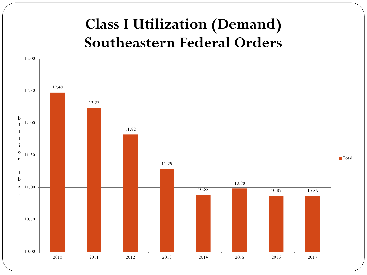### **Class I Utilization (Demand) Southeastern Federal Orders**

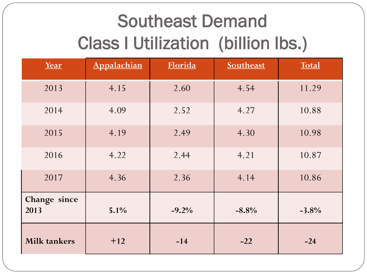# Southeast Demand Class I Utilization (billion lbs.)

| Year                 | Appalachian | Florida | Southeast | <b>Total</b> |
|----------------------|-------------|---------|-----------|--------------|
| 2013                 | 4.15        | 2.60    | 4.54      | 11.29        |
| 2014                 | 4.09        | 2.52    | 4.27      | 10.88        |
| 2015                 | 4.19        | 2.49    | 4.30      | 10.98        |
| 2016                 | 4.22        | 2.44    | 4.21      | 10.87        |
| 2017                 | 4.36        | 2.36    | 4.14      | 10.86        |
| Change since<br>2013 | 5.1%        | $-9.2%$ | $-8.8%$   | $-3.8%$      |
| <b>Milk tankers</b>  | $+12$       | $-14$   | $-22$     | $-24$        |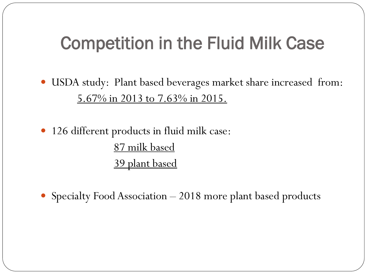### Competition in the Fluid Milk Case

- USDA study: Plant based beverages market share increased from: 5.67% in 2013 to 7.63% in 2015.
- 126 different products in fluid milk case: 87 milk based 39 plant based
- Specialty Food Association 2018 more plant based products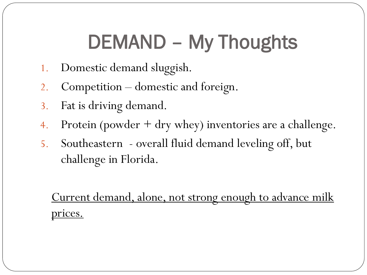# DEMAND – My Thoughts

- 1. Domestic demand sluggish.
- 2. Competition domestic and foreign.
- 3. Fat is driving demand.
- 4. Protein (powder + dry whey) inventories are a challenge.
- 5. Southeastern overall fluid demand leveling off, but challenge in Florida.

Current demand, alone, not strong enough to advance milk prices.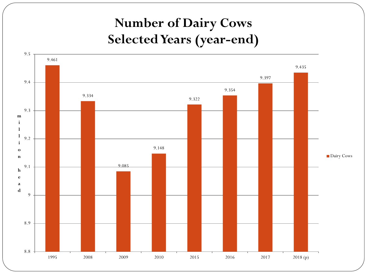#### **Number of Dairy Cows Selected Years (year-end)**

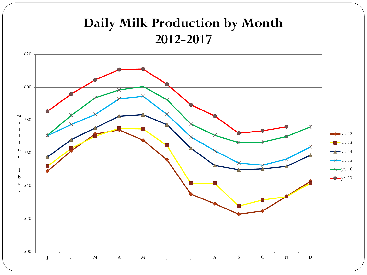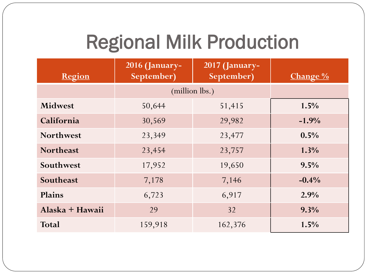# Regional Milk Production

| Region           | <b>2016 (January-</b><br>September) | <b>2017 (January-</b><br>September) | <b>Change</b> $\%$ |
|------------------|-------------------------------------|-------------------------------------|--------------------|
|                  | (million lbs.)                      |                                     |                    |
| <b>Midwest</b>   | 50,644                              | 51,415                              | 1.5%               |
| California       | 30,569                              | 29,982                              | $-1.9%$            |
| <b>Northwest</b> | 23,349                              | 23,477                              | 0.5%               |
| <b>Northeast</b> | 23,454                              | 23,757                              | $1.3\%$            |
| Southwest        | 17,952                              | 19,650                              | 9.5%               |
| Southeast        | 7,178                               | 7,146                               | $-0.4\%$           |
| Plains           | 6,723                               | 6,917                               | 2.9%               |
| Alaska + Hawaii  | 29                                  | 32                                  | 9.3%               |
| <b>Total</b>     | 159,918                             | 162,376                             | 1.5%               |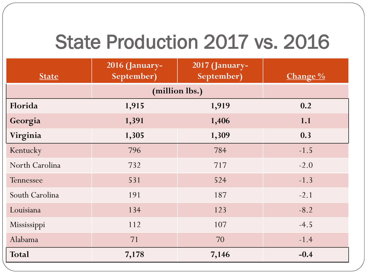## State Production 2017 vs. 2016

| <b>State</b>   | 2016 (January-<br>September) | 2017 (January-<br>September) | Change % |
|----------------|------------------------------|------------------------------|----------|
|                | (million lbs.)               |                              |          |
| Florida        | 1,915                        | 1,919                        | 0.2      |
| Georgia        | 1,391                        | 1,406                        | 1.1      |
| Virginia       | 1,305                        | 1,309                        | 0.3      |
| Kentucky       | 796                          | 784                          | $-1.5$   |
| North Carolina | 732                          | 717                          | $-2.0$   |
| Tennessee      | 531                          | 524                          | $-1.3$   |
| South Carolina | 191                          | 187                          | $-2.1$   |
| Louisiana      | 134                          | 123                          | $-8.2$   |
| Mississippi    | 112                          | 107                          | $-4.5$   |
| Alabama        | 71                           | 70                           | $-1.4$   |
| <b>Total</b>   | 7,178                        | 7,146                        | $-0.4$   |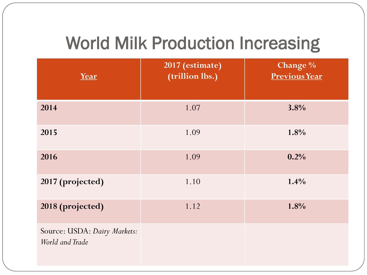### World Milk Production Increasing

| Year                                            | 2017 (estimate)<br>(trillion lbs.) | Change %<br><b>Previous Year</b> |
|-------------------------------------------------|------------------------------------|----------------------------------|
| 2014                                            | 1.07                               | 3.8%                             |
| 2015                                            | 1.09                               | 1.8%                             |
| 2016                                            | 1.09                               | 0.2%                             |
| 2017 (projected)                                | 1.10                               | 1.4%                             |
| 2018 (projected)                                | 1.12                               | 1.8%                             |
| Source: USDA: Dairy Markets:<br>World and Trade |                                    |                                  |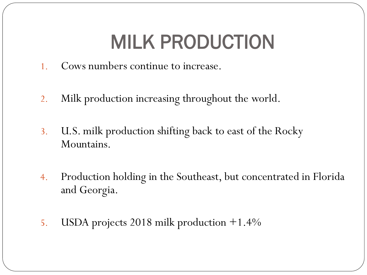# MILK PRODUCTION

- 1. Cows numbers continue to increase.
- 2. Milk production increasing throughout the world.
- 3. U.S. milk production shifting back to east of the Rocky Mountains.
- 4. Production holding in the Southeast, but concentrated in Florida and Georgia.
- 5. USDA projects 2018 milk production +1.4%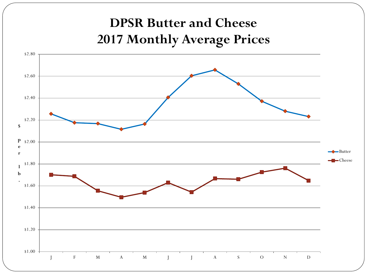#### **DPSR Butter and Cheese 2017 Monthly Average Prices**

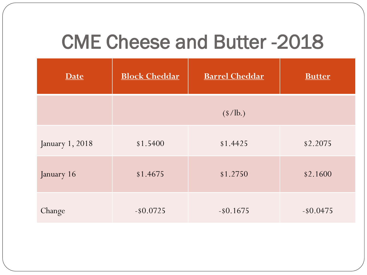### CME Cheese and Butter -2018

| Date            | <b>Block Cheddar</b> | <b>Barrel Cheddar</b>           | <b>Butter</b> |
|-----------------|----------------------|---------------------------------|---------------|
|                 |                      | $(\frac{\text{S}}{\text{lb.}})$ |               |
| January 1, 2018 | \$1.5400             | \$1.4425                        | \$2.2075      |
| January 16      | \$1.4675             | \$1.2750                        | \$2.1600      |
| Change          | $-$ \$0.0725         | $-$ \$0.1675                    | $-$ \$0.0475  |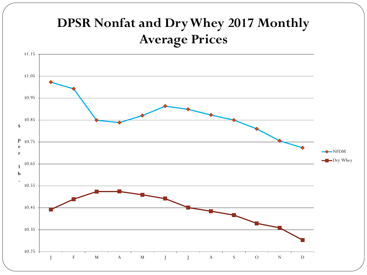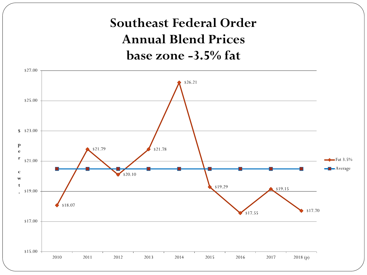#### **Southeast Federal Order Annual Blend Prices base zone -3.5% fat**

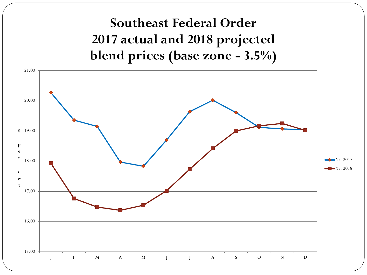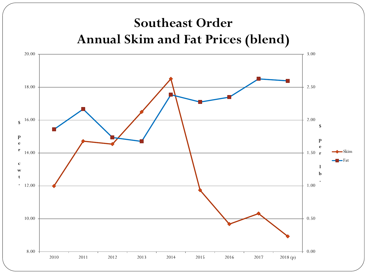#### **Southeast Order Annual Skim and Fat Prices (blend)**

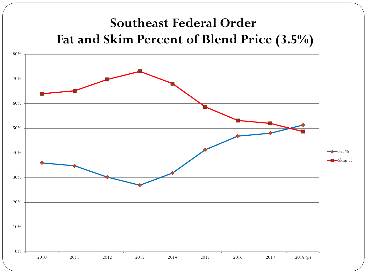#### **Southeast Federal Order Fat and Skim Percent of Blend Price (3.5%)**

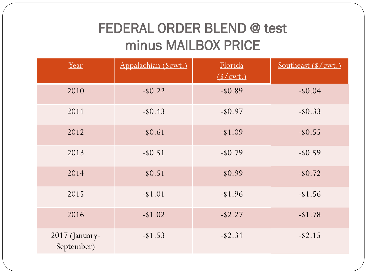#### FEDERAL ORDER BLEND @ test minus MAILBOX PRICE

| Year                         | Appalachian (\$cwt.) | Florida<br>(S/cwt.) | Southeast (\$/cwt.) |
|------------------------------|----------------------|---------------------|---------------------|
| 2010                         | $-$ \$0.22           | $-$ \$0.89          | $-$ \$0.04          |
| 2011                         | $-$ \$0.43           | $-$ \$0.97          | $-$ \$0.33          |
| 2012                         | $-$ \$0.61           | $- $1.09$           | $-$ \$0.55          |
| 2013                         | $-$ \$0.51           | $-$ \$0.79          | $-$ \$0.59          |
| 2014                         | $-$ \$0.51           | $-$ \$0.99          | $-$ \$0.72          |
| 2015                         | $- $1.01$            | $-1.96$             | $-$ \$1.56          |
| 2016                         | $-$ \$1.02           | $-$ \$2.27          | $-$ \$1.78          |
| 2017 (January-<br>September) | $-$ \$1.53           | $-$ \$2.34          | $-$ \$2.15          |